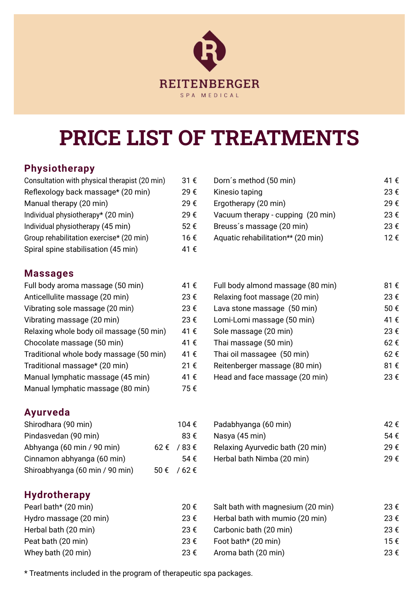# **REITENBERGER** SPA MEDICAL

# **price list of treatments**

## **Physiotherapy**

| Consultation with physical therapist (20 min) | 31€  |
|-----------------------------------------------|------|
| Reflexology back massage* (20 min)            | 29€  |
| Manual therapy (20 min)                       | 29€  |
| Individual physiotherapy* (20 min)            | 29€  |
| Individual physiotherapy (45 min)             | 52€  |
| Group rehabilitation exercise* (20 min)       | 16 € |
| Spiral spine stabilisation (45 min)           | 41 € |

#### **Massages**

| Full body aroma massage (50 min)         | 41€  |
|------------------------------------------|------|
| Anticellulite massage (20 min)           | 23€  |
| Vibrating sole massage (20 min)          | 23€  |
| Vibrating massage (20 min)               | 23€  |
| Relaxing whole body oil massage (50 min) | 41 € |
| Chocolate massage (50 min)               | 41€  |
| Traditional whole body massage (50 min)  | 41€  |
| Traditional massage* (20 min)            | 21€  |
| Manual lymphatic massage (45 min)        | 41€  |
| Manual lymphatic massage (80 min)        | 75€  |

#### **Ayurveda**

| Shirodhara (90 min)             | 104 €               |
|---------------------------------|---------------------|
| Pindasvedan (90 min)            | $83 \text{ } \in$   |
| Abhyanga (60 min / 90 min)      | $62 \t{≤}$ /83 €    |
| Cinnamon abhyanga (60 min)      | 54 $\epsilon$       |
| Shiroabhyanga (60 min / 90 min) | $50 \text{€}$ /62 € |

### **Hydrotherapy**

| Pearl bath* (20 min)   |  |
|------------------------|--|
| Hydro massage (20 min) |  |
| Herbal bath (20 min)   |  |
| Peat bath (20 min)     |  |
| Whey bath (20 min)     |  |

| Consultation with physical therapist (20 min) | 31 €          | Dorn's method (50 min)            | 41 € |
|-----------------------------------------------|---------------|-----------------------------------|------|
| Reflexology back massage* (20 min)            | 29€           | Kinesio taping                    | 23€  |
| Manual therapy (20 min)                       | 29€           | Ergotherapy (20 min)              | 29€  |
| Individual physiotherapy* (20 min)            | 29€           | Vacuum therapy - cupping (20 min) | 23€  |
| Individual physiotherapy (45 min)             | $52 \epsilon$ | Breuss's massage (20 min)         | 23€  |
| Group rehabilitation exercise* (20 min)       | 16 €          | Aquatic rehabilitation** (20 min) | 12€  |
|                                               |               |                                   |      |

| Full body aroma massage (50 min)         | 41€  | Full body almond massage (80 min) | 81€ |
|------------------------------------------|------|-----------------------------------|-----|
| Anticellulite massage (20 min)           | 23 € | Relaxing foot massage (20 min)    | 23€ |
| Vibrating sole massage (20 min)          | 23€  | Lava stone massage (50 min)       | 50€ |
| Vibrating massage (20 min)               | 23 € | Lomi-Lomi massage (50 min)        | 41€ |
| Relaxing whole body oil massage (50 min) | 41 € | Sole massage (20 min)             | 23€ |
| Chocolate massage (50 min)               | 41 € | Thai massage (50 min)             | 62€ |
| Traditional whole body massage (50 min)  | 41 € | Thai oil massagee (50 min)        | 62€ |
| Traditional massage* (20 min)            | 21 € | Reitenberger massage (80 min)     | 81€ |
| Manual lymphatic massage (45 min)        | 41 € | Head and face massage (20 min)    | 23€ |
|                                          |      |                                   |     |

| Shirodhara (90 min)        | 104 €                 | Padabhyanga (60 min)             | 42 € |
|----------------------------|-----------------------|----------------------------------|------|
| Pindasvedan (90 min)       | 83 €                  | Nasya (45 min)                   | 54 € |
| Abhyanga (60 min / 90 min) | $62 \t\epsilon$ /83 € | Relaxing Ayurvedic bath (20 min) | 29€  |
| Cinnamon abhyanga (60 min) | 54 €                  | Herbal bath Nimba (20 min)       | 29€  |

| Pearl bath* (20 min)   | 20€  | Salt bath with magnesium (20 min) | 23 € |
|------------------------|------|-----------------------------------|------|
| Hydro massage (20 min) | 23€  | Herbal bath with mumio (20 min)   | 23 € |
| Herbal bath (20 min)   | 23 € | Carbonic bath (20 min)            | 23 € |
| Peat bath (20 min)     | 23 € | Foot bath* (20 min)               | 15€  |
| Whey bath (20 min)     | 23 € | Aroma bath (20 min)               | 23€  |

\* Treatments included in the program of therapeutic spa packages.